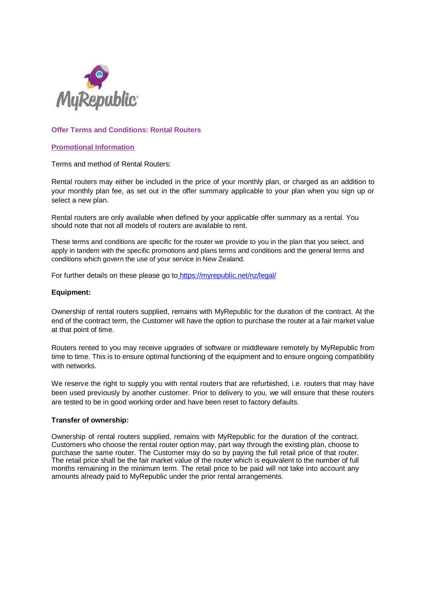

## **Offer Terms and Conditions: Rental Routers**

### **Promotional Information**

Terms and method of Rental Routers:

Rental routers may either be included in the price of your monthly plan, or charged as an addition to your monthly plan fee, as set out in the offer summary applicable to your plan when you sign up or select a new plan.

Rental routers are only available when defined by your applicable offer summary as a rental. You should note that not all models of routers are available to rent.

These terms and conditions are specific for the router we provide to you in the plan that you select, and apply in tandem with the specific promotions and plans terms and conditions and the general terms and conditions which govern the use of your service in New Zealand.

For further details on these please go to <https://myrepublic.net/nz/legal/>

#### **Equipment:**

Ownership of rental routers supplied, remains with MyRepublic for the duration of the contract. At the end of the contract term, the Customer will have the option to purchase the router at a fair market value at that point of time.

Routers rented to you may receive upgrades of software or middleware remotely by MyRepublic from time to time. This is to ensure optimal functioning of the equipment and to ensure ongoing compatibility with networks.

We reserve the right to supply you with rental routers that are refurbished, i.e. routers that may have been used previously by another customer. Prior to delivery to you, we will ensure that these routers are tested to be in good working order and have been reset to factory defaults.

### **Transfer of ownership:**

Ownership of rental routers supplied, remains with MyRepublic for the duration of the contract. Customers who choose the rental router option may, part way through the existing plan, choose to purchase the same router. The Customer may do so by paying the full retail price of that router. The retail price shall be the fair market value of the router which is equivalent to the number of full months remaining in the minimum term. The retail price to be paid will not take into account any amounts already paid to MyRepublic under the prior rental arrangements.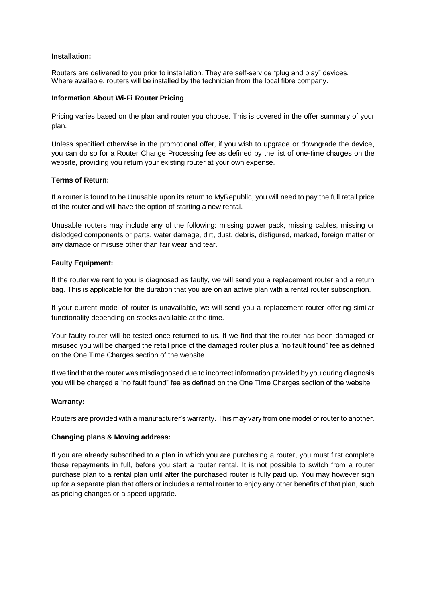### **Installation:**

Routers are delivered to you prior to installation. They are self-service "plug and play" devices. Where available, routers will be installed by the technician from the local fibre company.

## **Information About Wi-Fi Router Pricing**

Pricing varies based on the plan and router you choose. This is covered in the offer summary of your plan.

Unless specified otherwise in the promotional offer, if you wish to upgrade or downgrade the device, you can do so for a Router Change Processing fee as defined by the list of one-time charges on the website, providing you return your existing router at your own expense.

## **Terms of Return:**

If a router is found to be Unusable upon its return to MyRepublic, you will need to pay the full retail price of the router and will have the option of starting a new rental.

Unusable routers may include any of the following: missing power pack, missing cables, missing or dislodged components or parts, water damage, dirt, dust, debris, disfigured, marked, foreign matter or any damage or misuse other than fair wear and tear.

## **Faulty Equipment:**

If the router we rent to you is diagnosed as faulty, we will send you a replacement router and a return bag. This is applicable for the duration that you are on an active plan with a rental router subscription.

If your current model of router is unavailable, we will send you a replacement router offering similar functionality depending on stocks available at the time.

Your faulty router will be tested once returned to us. If we find that the router has been damaged or misused you will be charged the retail price of the damaged router plus a "no fault found" fee as defined on the One Time Charges section of the website.

If we find that the router was misdiagnosed due to incorrect information provided by you during diagnosis you will be charged a "no fault found" fee as defined on the One Time Charges section of the website.

## **Warranty:**

Routers are provided with a manufacturer's warranty. This may vary from one model of router to another.

## **Changing plans & Moving address:**

If you are already subscribed to a plan in which you are purchasing a router, you must first complete those repayments in full, before you start a router rental. It is not possible to switch from a router purchase plan to a rental plan until after the purchased router is fully paid up. You may however sign up for a separate plan that offers or includes a rental router to enjoy any other benefits of that plan, such as pricing changes or a speed upgrade.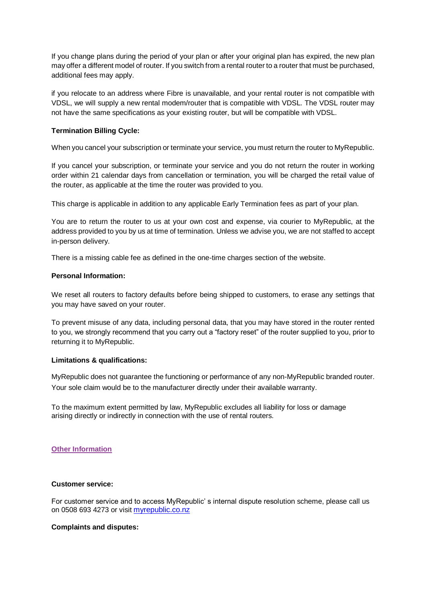If you change plans during the period of your plan or after your original plan has expired, the new plan may offer a different model of router. If you switch from a rental router to a router that must be purchased, additional fees may apply.

if you relocate to an address where Fibre is unavailable, and your rental router is not compatible with VDSL, we will supply a new rental modem/router that is compatible with VDSL. The VDSL router may not have the same specifications as your existing router, but will be compatible with VDSL.

## **Termination Billing Cycle:**

When you cancel your subscription or terminate your service, you must return the router to MyRepublic.

If you cancel your subscription, or terminate your service and you do not return the router in working order within 21 calendar days from cancellation or termination, you will be charged the retail value of the router, as applicable at the time the router was provided to you.

This charge is applicable in addition to any applicable Early Termination fees as part of your plan.

You are to return the router to us at your own cost and expense, via courier to MyRepublic, at the address provided to you by us at time of termination. Unless we advise you, we are not staffed to accept in-person delivery.

There is a missing cable fee as defined in the one-time charges section of the website.

## **Personal Information:**

We reset all routers to factory defaults before being shipped to customers, to erase any settings that you may have saved on your router.

To prevent misuse of any data, including personal data, that you may have stored in the router rented to you, we strongly recommend that you carry out a "factory reset" of the router supplied to you, prior to returning it to MyRepublic.

## **Limitations & qualifications:**

MyRepublic does not guarantee the functioning or performance of any non-MyRepublic branded router. Your sole claim would be to the manufacturer directly under their available warranty.

To the maximum extent permitted by law, MyRepublic excludes all liability for loss or damage arising directly or indirectly in connection with the use of rental routers.

### **Other Information**

### **Customer service:**

For customer service and to access MyRepublic' s internal dispute resolution scheme, please call us on 0508 693 4273 or visit [myrepublic.co.nz](http://myrepublic.co.nz/)

### **Complaints and disputes:**